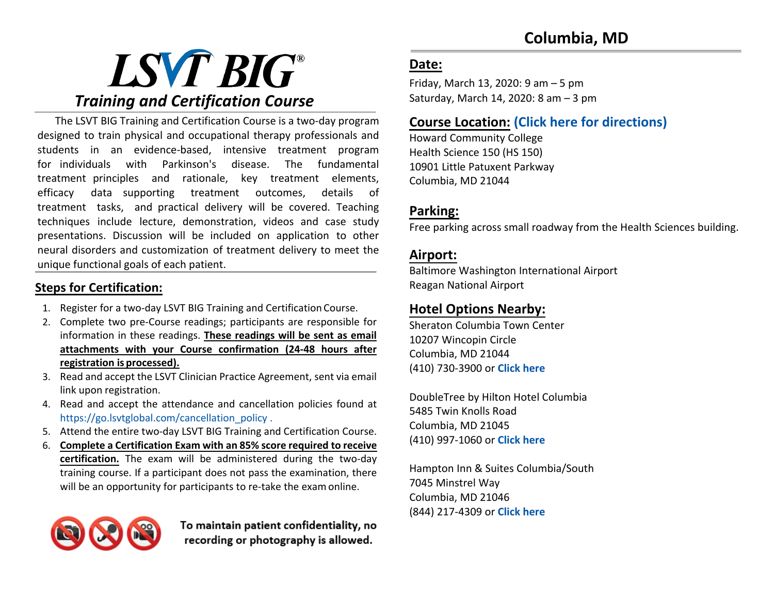# LSVT BIG® *Training and Certification Course*

The LSVT BIG Training and Certification Course is a two-day program designed to train physical and occupational therapy professionals and students in an evidence-based, intensive treatment program for individuals with Parkinson's disease. The fundamental treatment principles and rationale, key treatment elements, efficacy data supporting treatment outcomes, details of treatment tasks, and practical delivery will be covered. Teaching techniques include lecture, demonstration, videos and case study presentations. Discussion will be included on application to other neural disorders and customization of treatment delivery to meet the unique functional goals of each patient.

### **Steps for Certification:**

- 1. Register for a two-day LSVT BIG Training and Certification Course.
- 2. Complete two pre-Course readings; participants are responsible for information in these readings. **These readings will be sent as email attachments with your Course confirmation (24-48 hours after registration is processed).**
- 3. Read and accept the LSVT Clinician Practice Agreement, sent via email link upon registration.
- 4. Read and accept the attendance and cancellation policies found at https://go.lsvtglobal.com/cancellation\_policy .
- 5. Attend the entire two-day LSVT BIG Training and Certification Course.
- 6. **Complete a Certification Exam with an 85% score required to receive certification.** The exam will be administered during the two-day training course. If a participant does not pass the examination, there will be an opportunity for participants to re-take the exam online.

To maintain patient confidentiality, no recording or photography is allowed.

### **Date:**

Friday, March 13, 2020: 9 am – 5 pm Saturday, March 14, 2020: 8 am – 3 pm

### **Course Location: [\(Click here for directions\)](https://www.google.com/maps/place/Howard+Community+College/@39.214008,-76.881615,17z/data=!3m1!4b1!4m5!3m4!1s0x89b7df0c122c5409:0x1efe22dcab74062b!8m2!3d39.214008!4d-76.8794263)**

Howard Community College Health Science 150 (HS 150) 10901 Little Patuxent Parkway Columbia, MD 21044

### **Parking:**

Free parking across small roadway from the Health Sciences building.

### **Airport:**

Baltimore Washington International Airport Reagan National Airport

### **Hotel Options Nearby:**

Sheraton Columbia Town Center 10207 Wincopin Circle Columbia, MD 21044 (410) 730-3900 or **[Click here](https://www.google.com/maps/place/Sheraton+Columbia+Town+Center+Hotel/@39.2169923,-76.8567041,17z/data=!3m1!4b1!4m8!3m7!1s0x89b7df969d9c646d:0x46dd64ffd8f5c74b!5m2!4m1!1i2!8m2!3d39.2169882!4d-76.8545154)**

DoubleTree by Hilton Hotel Columbia 5485 Twin Knolls Road Columbia, MD 21045 (410) 997-1060 or **[Click here](https://www.google.com/maps/place/DoubleTree+by+Hilton+Hotel+Columbia/@39.2225042,-76.8438963,17z/data=!3m1!4b1!4m8!3m7!1s0x89b7dfee76895add:0x22d36a175b97a6fb!5m2!4m1!1i2!8m2!3d39.2225001!4d-76.8417076)**

Hampton Inn & Suites Columbia/South 7045 Minstrel Way Columbia, MD 21046 (844) 217-4309 or **[Click here](https://www.google.com/maps/place/Hampton+Inn+%26+Suites+Columbia%2FSouth/@39.1757495,-76.8485302,17z/data=!3m1!4b1!4m8!3m7!1s0x89b7de3ee40cfb6b:0xe50b625ba9401bb1!5m2!4m1!1i2!8m2!3d39.1757454!4d-76.8463415)**

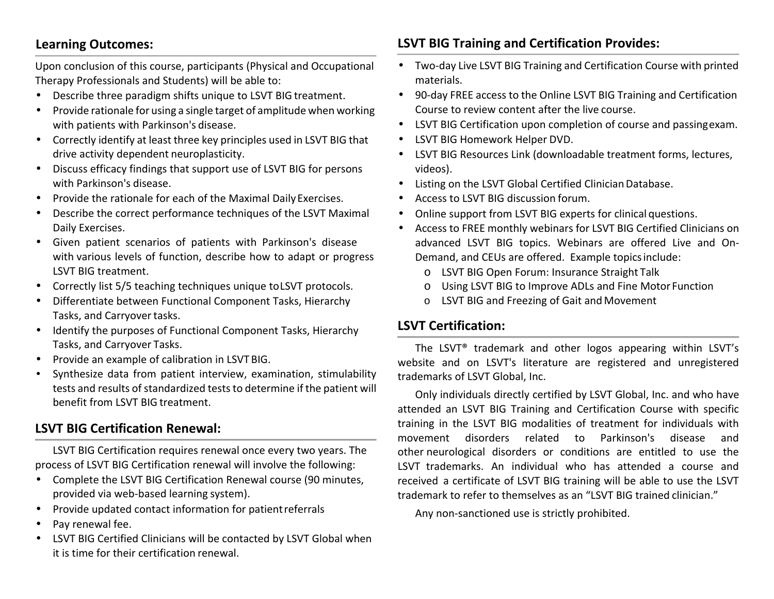### **Learning Outcomes:**

Upon conclusion of this course, participants (Physical and Occupational Therapy Professionals and Students) will be able to:

- Describe three paradigm shifts unique to LSVT BIG treatment.
- Provide rationale for using a single target of amplitude when working with patients with Parkinson's disease.
- Correctly identify at least three key principles used in LSVT BIG that drive activity dependent neuroplasticity.
- Discuss efficacy findings that support use of LSVT BIG for persons with Parkinson's disease.
- Provide the rationale for each of the Maximal Daily Exercises.
- Describe the correct performance techniques of the LSVT Maximal Daily Exercises.
- Given patient scenarios of patients with Parkinson's disease with various levels of function, describe how to adapt or progress LSVT BIG treatment.
- Correctly list 5/5 teaching techniques unique to LSVT protocols.
- Differentiate between Functional Component Tasks, Hierarchy Tasks, and Carryover tasks.
- Identify the purposes of Functional Component Tasks, Hierarchy Tasks, and Carryover Tasks.
- Provide an example of calibration in LSVT BIG.
- Synthesize data from patient interview, examination, stimulability tests and results of standardized tests to determine if the patient will benefit from LSVT BIG treatment.

### **LSVT BIG Certification Renewal:**

LSVT BIG Certification requires renewal once every two years. The process of LSVT BIG Certification renewal will involve the following:

- Complete the LSVT BIG Certification Renewal course (90 minutes, provided via web-based learning system).
- Provide updated contact information for patientreferrals
- Pay renewal fee.
- LSVT BIG Certified Clinicians will be contacted by LSVT Global when it is time for their certification renewal.

### **LSVT BIG Training and Certification Provides:**

- Two-day Live LSVT BIG Training and Certification Course with printed materials.
- 90-day FREE access to the Online LSVT BIG Training and Certification Course to review content after the live course.
- LSVT BIG Certification upon completion of course and passingexam.
- LSVT BIG Homework Helper DVD.
- LSVT BIG Resources Link (downloadable treatment forms, lectures, videos).
- Listing on the LSVT Global Certified Clinician Database.
- Access to LSVT BIG discussion forum.
- Online support from LSVT BIG experts for clinical questions.
- Access to FREE monthly webinars for LSVT BIG Certified Clinicians on advanced LSVT BIG topics. Webinars are offered Live and On-Demand, and CEUs are offered. Example topicsinclude:
	- o LSVT BIG Open Forum: Insurance Straight Talk
	- o Using LSVT BIG to Improve ADLs and Fine Motor Function
	- o LSVT BIG and Freezing of Gait and Movement

### **LSVT Certification:**

The LSVT® trademark and other logos appearing within LSVT's website and on LSVT's literature are registered and unregistered trademarks of LSVT Global, Inc.

Only individuals directly certified by LSVT Global, Inc. and who have attended an LSVT BIG Training and Certification Course with specific training in the LSVT BIG modalities of treatment for individuals with movement disorders related to Parkinson's disease and other neurological disorders or conditions are entitled to use the LSVT trademarks. An individual who has attended a course and received a certificate of LSVT BIG training will be able to use the LSVT trademark to refer to themselves as an "LSVT BIG trained clinician."

Any non-sanctioned use is strictly prohibited.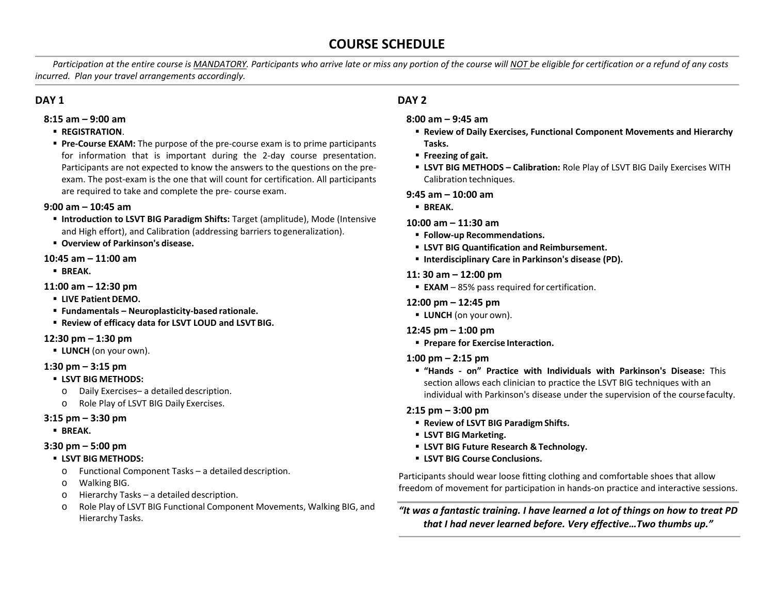### **COURSE SCHEDULE**

*Participation at the entire course is MANDATORY. Participants who arrive late or miss any portion of the course will NOT be eligible for certification or a refund of any costs incurred. Plan your travel arrangements accordingly.*

#### **DAY 1**

- **8:15 am 9:00 am**
	- **REGISTRATION**.
	- **Pre-Course EXAM:** The purpose of the pre-course exam is to prime participants for information that is important during the 2-day course presentation. Participants are not expected to know the answers to the questions on the preexam. The post-exam is the one that will count for certification. All participants are required to take and complete the pre- course exam.

#### **9:00 am – 10:45 am**

- **Introduction to LSVT BIG Paradigm Shifts:** Target (amplitude), Mode (Intensive and High effort), and Calibration (addressing barriers to generalization).
- **Overview of Parkinson's disease.**

#### **10:45 am – 11:00 am**

**BREAK.** 

#### **11:00 am – 12:30 pm**

- **LIVE Patient DEMO.**
- **Fundamentals Neuroplasticity-based rationale.**
- **Review of efficacy data for LSVT LOUD and LSVT BIG.**

#### **12:30 pm – 1:30 pm**

**LUNCH** (on your own).

#### **1:30 pm – 3:15 pm**

- **LSVT BIG METHODS:**
	- o Daily Exercises– a detailed description.
	- o Role Play of LSVT BIG Daily Exercises.

#### **3:15 pm – 3:30 pm**

**BREAK.**

#### **3:30 pm – 5:00 pm**

- **LSVT BIG METHODS:**
	- o Functional Component Tasks a detailed description.
	- o Walking BIG.
	- o Hierarchy Tasks a detailed description.
	- o Role Play of LSVT BIG Functional Component Movements, Walking BIG, and Hierarchy Tasks.

#### **DAY 2**

#### **8:00 am – 9:45 am**

- **Review of Daily Exercises, Functional Component Movements and Hierarchy Tasks.**
- **Freezing of gait.**
- **LSVT BIG METHODS Calibration:** Role Play of LSVT BIG Daily Exercises WITH Calibration techniques.

#### **9:45 am – 10:00 am**

**BREAK.**

#### **10:00 am – 11:30 am**

- **Follow-up Recommendations.**
- **LSVT BIG Quantification and Reimbursement.**
- **Interdisciplinary Care in Parkinson's disease (PD).**

#### **11: 30 am – 12:00 pm**

**EXAM** – 85% pass required for certification.

#### **12:00 pm – 12:45 pm**

- **LUNCH** (on your own).
- **12:45 pm 1:00 pm**
	- **Prepare for Exercise Interaction.**

#### **1:00 pm – 2:15 pm**

 **"Hands - on" Practice with Individuals with Parkinson's Disease:** This section allows each clinician to practice the LSVT BIG techniques with an individual with Parkinson's disease under the supervision of the course faculty.

#### **2:15 pm – 3:00 pm**

- **Review of LSVT BIG Paradigm Shifts.**
- **LSVT BIG Marketing.**
- **LSVT BIG Future Research & Technology.**
- **LSVT BIG Course Conclusions.**

Participants should wear loose fitting clothing and comfortable shoes that allow freedom of movement for participation in hands-on practice and interactive sessions.

*"It was a fantastic training. I have learned a lot of things on how to treat PD that I had never learned before. Very effective…Two thumbs up."*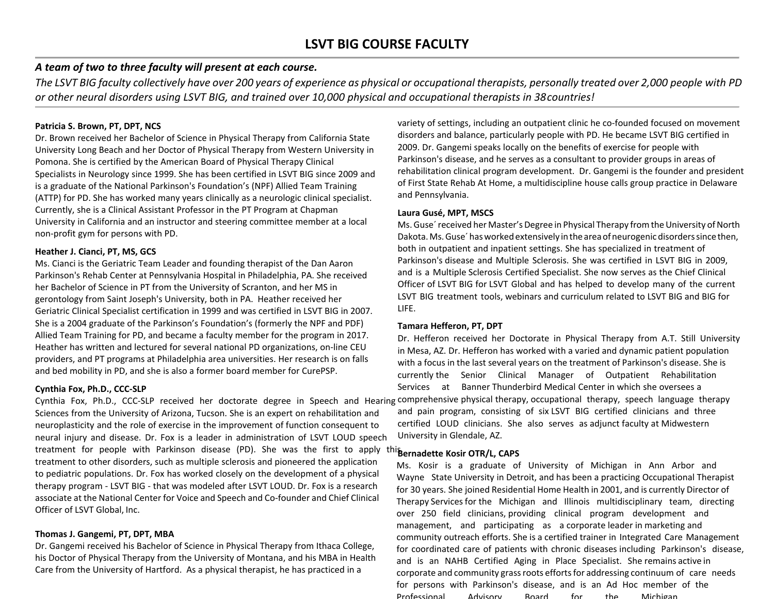#### *A team of two to three faculty will present at each course.*

The LSVT BIG faculty collectively have over 200 years of experience as physical or occupational therapists, personally treated over 2,000 people with PD *or other neural disorders using LSVT BIG, and trained over 10,000 physical and occupational therapists in 38countries!*

#### **Patricia S. Brown, PT, DPT, NCS**

Dr. Brown received her Bachelor of Science in Physical Therapy from California State University Long Beach and her Doctor of Physical Therapy from Western University in Pomona. She is certified by the American Board of Physical Therapy Clinical Specialists in Neurology since 1999. She has been certified in LSVT BIG since 2009 and is a graduate of the National Parkinson's Foundation's (NPF) Allied Team Training (ATTP) for PD. She has worked many years clinically as a neurologic clinical specialist. Currently, she is a Clinical Assistant Professor in the PT Program at Chapman University in California and an instructor and steering committee member at a local non-profit gym for persons with PD.

#### **Heather J. Cianci, PT, MS, GCS**

Ms. Cianci is the Geriatric Team Leader and founding therapist of the Dan Aaron Parkinson's Rehab Center at Pennsylvania Hospital in Philadelphia, PA. She received her Bachelor of Science in PT from the University of Scranton, and her MS in gerontology from Saint Joseph's University, both in PA. Heather received her Geriatric Clinical Specialist certification in 1999 and was certified in LSVT BIG in 2007. She is a 2004 graduate of the Parkinson's Foundation's (formerly the NPF and PDF) Allied Team Training for PD, and became a faculty member for the program in 2017. Heather has written and lectured for several national PD organizations, on-line CEU providers, and PT programs at Philadelphia area universities. Her research is on falls and bed mobility in PD, and she is also a former board member for CurePSP.

#### **Cynthia Fox, Ph.D., CCC-SLP**

Cynthia Fox, Ph.D., CCC-SLP received her doctorate degree in Speech and Hearing comprehensive physical therapy, occupational therapy, speech language therapy Sciences from the University of Arizona, Tucson. She is an expert on rehabilitation and neuroplasticity and the role of exercise in the improvement of function consequent to neural injury and disease. Dr. Fox is a leader in administration of LSVT LOUD speech treatment for people with Parkinson disease (PD). She was the first to apply this ernadette Kosir OTR/L, CAPS treatment to other disorders, such as multiple sclerosis and pioneered the application to pediatric populations. Dr. Fox has worked closely on the development of a physical therapy program - LSVT BIG - that was modeled after LSVT LOUD. Dr. Fox is a research associate at the National Center for Voice and Speech and Co-founder and Chief Clinical Officer of LSVT Global, Inc.

#### **Thomas J. Gangemi, PT, DPT, MBA**

Dr. Gangemi received his Bachelor of Science in Physical Therapy from Ithaca College, his Doctor of Physical Therapy from the University of Montana, and his MBA in Health Care from the University of Hartford. As a physical therapist, he has practiced in a

variety of settings, including an outpatient clinic he co-founded focused on movement disorders and balance, particularly people with PD. He became LSVT BIG certified in 2009. Dr. Gangemi speaks locally on the benefits of exercise for people with Parkinson's disease, and he serves as a consultant to provider groups in areas of rehabilitation clinical program development. Dr. Gangemi is the founder and president of First State Rehab At Home, a multidiscipline house calls group practice in Delaware and Pennsylvania.

#### **Laura Gusé, MPT, MSCS**

Ms. Guse´ received her Master's Degree in Physical Therapy from the University of North Dakota. Ms. Guse´ has worked extensively in the area of neurogenic disorders since then, both in outpatient and inpatient settings. She has specialized in treatment of Parkinson's disease and Multiple Sclerosis. She was certified in LSVT BIG in 2009, and is a Multiple Sclerosis Certified Specialist. She now serves as the Chief Clinical Officer of LSVT BIG for LSVT Global and has helped to develop many of the current LSVT BIG treatment tools, webinars and curriculum related to LSVT BIG and BIG for LIFE.

#### **Tamara Hefferon, PT, DPT**

Dr. Hefferon received her Doctorate in Physical Therapy from A.T. Still University in Mesa, AZ. Dr. Hefferon has worked with a varied and dynamic patient population with a focus in the last several years on the treatment of Parkinson's disease. She is currently the Senior Clinical Manager of Outpatient Rehabilitation Services at Banner Thunderbird Medical Center in which she oversees a and pain program, consisting of six LSVT BIG certified clinicians and three certified LOUD clinicians. She also serves as adjunct faculty at Midwestern University in Glendale, AZ.

Ms. Kosir is a graduate of University of Michigan in Ann Arbor and Wayne State University in Detroit, and has been a practicing Occupational Therapist for 30 years. She joined Residential Home Health in 2001, and is currently Director of Therapy Services for the Michigan and Illinois multidisciplinary team, directing over 250 field clinicians, providing clinical program development and management, and participating as a corporate leader in marketing and community outreach efforts. She is a certified trainer in Integrated Care Management for coordinated care of patients with chronic diseases including Parkinson's disease, and is an NAHB Certified Aging in Place Specialist. She remains active in corporate and community grass roots efforts for addressing continuum of care needs for persons with Parkinson's disease, and is an Ad Hoc member of the Professional Advisory Board for the Michigan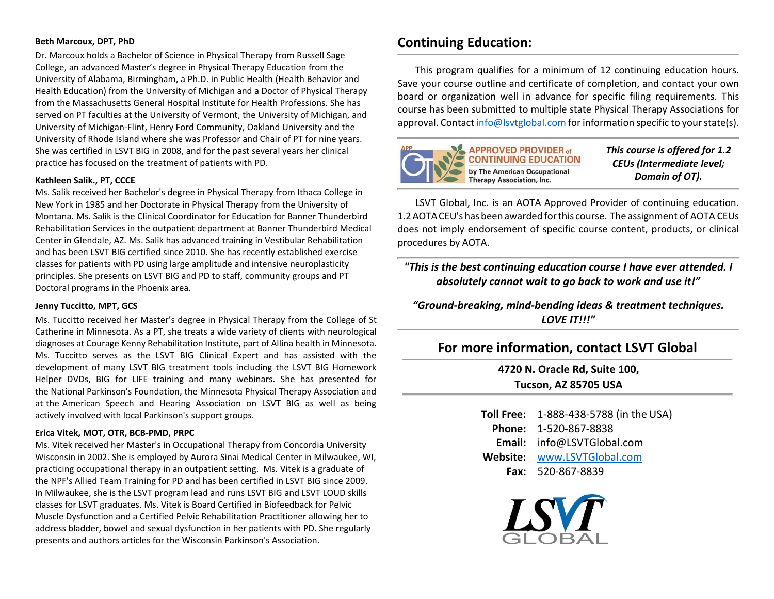#### **Beth Marcoux, DPT, PhD**

Dr. Marcoux holds a Bachelor of Science in Physical Therapy from Russell Sage College, an advanced Master's degree in Physical Therapy Education from the University of Alabama, Birmingham, a Ph.D. in Public Health (Health Behavior and Health Education) from the University of Michigan and a Doctor of Physical Therapy from the Massachusetts General Hospital Institute for Health Professions. She has served on PT faculties at the University of Vermont, the University of Michigan, and University of Michigan-Flint, Henry Ford Community, Oakland University and the University of Rhode Island where she was Professor and Chair of PT for nine years. She was certified in LSVT BIG in 2008, and for the past several years her clinical practice has focused on the treatment of patients with PD.

#### **Kathleen Salik., PT, CCCE**

Ms. Salik received her Bachelor's degree in Physical Therapy from Ithaca College in New York in 1985 and her Doctorate in Physical Therapy from the University of Montana. Ms. Salik is the Clinical Coordinator for Education for Banner Thunderbird Rehabilitation Services in the outpatient department at Banner Thunderbird Medical Center in Glendale, AZ. Ms. Salik has advanced training in Vestibular Rehabilitation and has been LSVT BIG certified since 2010. She has recently established exercise classes for patients with PD using large amplitude and intensive neuroplasticity principles. She presents on LSVT BIG and PD to staff, community groups and PT Doctoral programs in the Phoenix area.

#### **Jenny Tuccitto, MPT, GCS**

Ms. Tuccitto received her Master's degree in Physical Therapy from the College of St Catherine in Minnesota. As a PT, she treats a wide variety of clients with neurological diagnoses at Courage Kenny Rehabilitation Institute, part of Allina health in Minnesota. Ms. Tuccitto serves as the LSVT BIG Clinical Expert and has assisted with the development of many LSVT BIG treatment tools including the LSVT BIG Homework Helper DVDs, BIG for LIFE training and many webinars. She has presented for the National Parkinson's Foundation, the Minnesota Physical Therapy Association and at the American Speech and Hearing Association on LSVT BIG as well as being actively involved with local Parkinson's support groups.

#### **Erica Vitek, MOT, OTR, BCB-PMD, PRPC**

Ms. Vitek received her Master's in Occupational Therapy from Concordia University Wisconsin in 2002. She is employed by Aurora Sinai Medical Center in Milwaukee, WI, practicing occupational therapy in an outpatient setting. Ms. Vitek is a graduate of the NPF's Allied Team Training for PD and has been certified in LSVT BIG since 2009. In Milwaukee, she is the LSVT program lead and runs LSVT BIG and LSVT LOUD skills classes for LSVT graduates. Ms. Vitek is Board Certified in Biofeedback for Pelvic Muscle Dysfunction and a Certified Pelvic Rehabilitation Practitioner allowing her to address bladder, bowel and sexual dysfunction in her patients with PD. She regularly presents and authors articles for the Wisconsin Parkinson's Association.

### **Continuing Education:**

This program qualifies for a minimum of 12 continuing education hours. Save your course outline and certificate of completion, and contact your own board or organization well in advance for specific filing requirements. This course has been submitted to multiple state Physical Therapy Associations for approval. Contact [info@lsvtglobal.com](mailto:info@lsvtglobal.com) for information specific to your state(s).



**APPROVED PROVIDER of CONTINUING EDUCATION** by The American Occupational **Therapy Association, Inc.** 

*This course is offered for 1.2 CEUs (Intermediate level; Domain of OT).*

LSVT Global, Inc. is an AOTA Approved Provider of continuing education. 1.2AOTACEU's has beenawardedforthis course. The assignment of AOTA CEUs does not imply endorsement of specific course content, products, or clinical procedures by AOTA.

*"This is the best continuing education course I have ever attended. I absolutely cannot wait to go back to work and use it!"*

*"Ground-breaking, mind-bending ideas & treatment techniques. LOVE IT!!!"*

### **For more information, contact LSVT Global**

**4720 N. Oracle Rd, Suite 100, Tucson, AZ 85705 USA**

**Toll Free:** 1-888-438-5788 (in the USA) **Phone:** 1-520-867-8838 **Email:** [info@LSVTGlobal.com](mailto:info@lsvtglobal.com) **Website:** [www.LSVTGlobal.com](http://www.lsvtglobal.com/) **Fax:** 520-867-8839

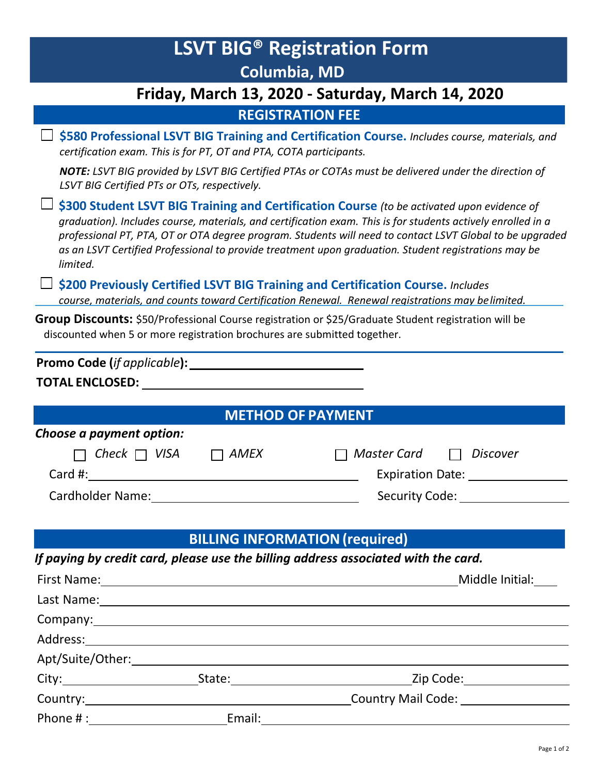| <b>LSVT BIG<sup>®</sup> Registration Form</b>                                                                                                                                                                                                                                                                                                                                                                                              |
|--------------------------------------------------------------------------------------------------------------------------------------------------------------------------------------------------------------------------------------------------------------------------------------------------------------------------------------------------------------------------------------------------------------------------------------------|
| <b>Columbia, MD</b>                                                                                                                                                                                                                                                                                                                                                                                                                        |
| Friday, March 13, 2020 - Saturday, March 14, 2020                                                                                                                                                                                                                                                                                                                                                                                          |
| <b>REGISTRATION FEE</b>                                                                                                                                                                                                                                                                                                                                                                                                                    |
| \$580 Professional LSVT BIG Training and Certification Course. Includes course, materials, and<br>certification exam. This is for PT, OT and PTA, COTA participants.                                                                                                                                                                                                                                                                       |
| NOTE: LSVT BIG provided by LSVT BIG Certified PTAs or COTAs must be delivered under the direction of<br>LSVT BIG Certified PTs or OTs, respectively.                                                                                                                                                                                                                                                                                       |
| \$300 Student LSVT BIG Training and Certification Course (to be activated upon evidence of<br>graduation). Includes course, materials, and certification exam. This is for students actively enrolled in a<br>professional PT, PTA, OT or OTA degree program. Students will need to contact LSVT Global to be upgraded<br>as an LSVT Certified Professional to provide treatment upon graduation. Student registrations may be<br>limited. |
| \$200 Previously Certified LSVT BIG Training and Certification Course. Includes<br>course, materials, and counts toward Certification Renewal. Renewal registrations may belimited.                                                                                                                                                                                                                                                        |
| Group Discounts: \$50/Professional Course registration or \$25/Graduate Student registration will be<br>discounted when 5 or more registration brochures are submitted together.                                                                                                                                                                                                                                                           |
|                                                                                                                                                                                                                                                                                                                                                                                                                                            |
|                                                                                                                                                                                                                                                                                                                                                                                                                                            |
|                                                                                                                                                                                                                                                                                                                                                                                                                                            |
| <b>METHOD OF PAYMENT</b>                                                                                                                                                                                                                                                                                                                                                                                                                   |
| Choose a payment option:                                                                                                                                                                                                                                                                                                                                                                                                                   |
| Check $\Box$ VISA<br>AMEX<br>Master Card<br>Discover<br>$\Box$                                                                                                                                                                                                                                                                                                                                                                             |
| Card #:<br>Expiration Date: 2008                                                                                                                                                                                                                                                                                                                                                                                                           |
| Security Code: __________                                                                                                                                                                                                                                                                                                                                                                                                                  |

### **BILLING INFORMATION(required)**

*If paying by credit card, please use the billing address associated with the card.*

|                                                                                                                                                                                                                                |        | Middle Initial:           |
|--------------------------------------------------------------------------------------------------------------------------------------------------------------------------------------------------------------------------------|--------|---------------------------|
|                                                                                                                                                                                                                                |        |                           |
|                                                                                                                                                                                                                                |        |                           |
|                                                                                                                                                                                                                                |        |                           |
| Apt/Suite/Other:________________                                                                                                                                                                                               |        |                           |
|                                                                                                                                                                                                                                |        | Zip Code:___________      |
|                                                                                                                                                                                                                                |        | <b>Country Mail Code:</b> |
| Phone #: The contract of the contract of the contract of the contract of the contract of the contract of the contract of the contract of the contract of the contract of the contract of the contract of the contract of the c | Email: |                           |